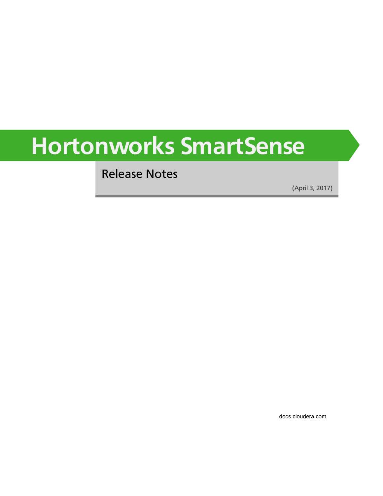# **Hortonworks SmartSense**

Release Notes

(April 3, 2017)

[docs.cloudera.com](http://docs.cloudera.com)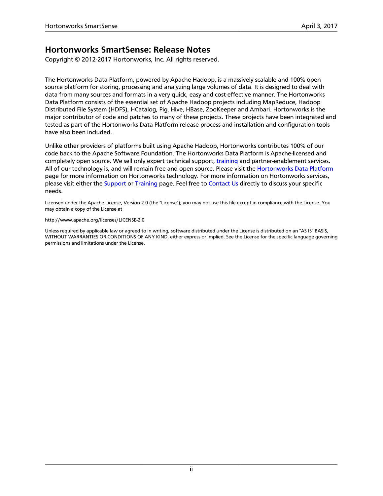### **Hortonworks SmartSense: Release Notes**

Copyright © 2012-2017 Hortonworks, Inc. All rights reserved.

The Hortonworks Data Platform, powered by Apache Hadoop, is a massively scalable and 100% open source platform for storing, processing and analyzing large volumes of data. It is designed to deal with data from many sources and formats in a very quick, easy and cost-effective manner. The Hortonworks Data Platform consists of the essential set of Apache Hadoop projects including MapReduce, Hadoop Distributed File System (HDFS), HCatalog, Pig, Hive, HBase, ZooKeeper and Ambari. Hortonworks is the major contributor of code and patches to many of these projects. These projects have been integrated and tested as part of the Hortonworks Data Platform release process and installation and configuration tools have also been included.

Unlike other providers of platforms built using Apache Hadoop, Hortonworks contributes 100% of our code back to the Apache Software Foundation. The Hortonworks Data Platform is Apache-licensed and completely open source. We sell only expert technical support, [training](https://hortonworks.com/training/) and partner-enablement services. All of our technology is, and will remain free and open source. Please visit the [Hortonworks Data Platform](https://hortonworks.com/products/hdp/) page for more information on Hortonworks technology. For more information on Hortonworks services, please visit either the [Support](https://hortonworks.com/support) or [Training](https://hortonworks.com/training/) page. Feel free to [Contact Us](https://hortonworks.com/contact-us/) directly to discuss your specific needs.

Licensed under the Apache License, Version 2.0 (the "License"); you may not use this file except in compliance with the License. You may obtain a copy of the License at

<http://www.apache.org/licenses/LICENSE-2.0>

Unless required by applicable law or agreed to in writing, software distributed under the License is distributed on an "AS IS" BASIS, WITHOUT WARRANTIES OR CONDITIONS OF ANY KIND, either express or implied. See the License for the specific language governing permissions and limitations under the License.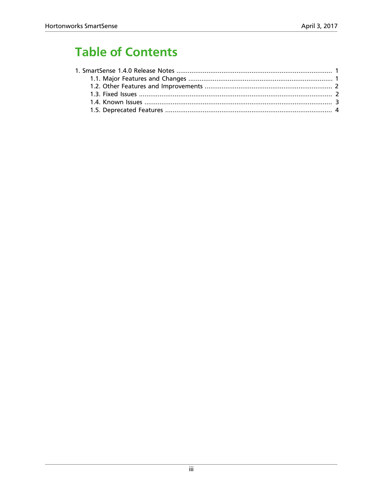# **Table of Contents**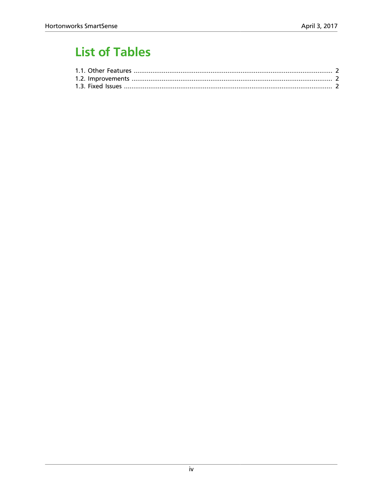# **List of Tables**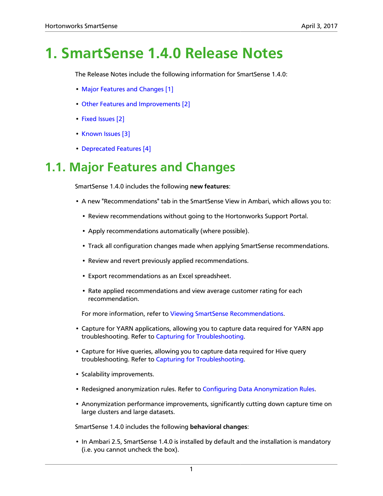# <span id="page-4-0"></span>**1. SmartSense 1.4.0 Release Notes**

The Release Notes include the following information for SmartSense 1.4.0:

- [Major Features and Changes \[1\]](#page-4-1)
- [Other Features and Improvements \[2\]](#page-5-0)
- [Fixed Issues \[2\]](#page-5-1)
- [Known Issues \[3\]](#page-6-0)
- [Deprecated Features \[4\]](#page-7-0)

### <span id="page-4-1"></span>**1.1. Major Features and Changes**

SmartSense 1.4.0 includes the following **new features**:

- A new "Recommendations" tab in the SmartSense View in Ambari, which allows you to:
	- Review recommendations without going to the Hortonworks Support Portal.
	- Apply recommendations automatically (where possible).
	- Track all configuration changes made when applying SmartSense recommendations.
	- Review and revert previously applied recommendations.
	- Export recommendations as an Excel spreadsheet.
	- Rate applied recommendations and view average customer rating for each recommendation.

For more information, refer to [Viewing SmartSense Recommendations](https://docs.hortonworks.com/HDPDocuments/SS1/SmartSense-1.4.0/bk_user-guide/content/ambari_recommendations.html).

- Capture for YARN applications, allowing you to capture data required for YARN app troubleshooting. Refer to [Capturing for Troubleshooting.](https://docs.hortonworks.com/HDPDocuments/SS1/SmartSense-1.4.0/bk_user-guide/content/ambari_capturing_trouble.html)
- Capture for Hive queries, allowing you to capture data required for Hive query troubleshooting. Refer to [Capturing for Troubleshooting.](https://docs.hortonworks.com/HDPDocuments/SS1/SmartSense-1.4.0/bk_user-guide/content/ambari_capturing_trouble.html)
- Scalability improvements.
- Redesigned anonymization rules. Refer to [Configuring Data Anonymization Rules.](https://docs.hortonworks.com/HDPDocuments/SS1/SmartSense-1.4.0/bk_user-guide/content/appendix_data_anonymization.html)
- Anonymization performance improvements, significantly cutting down capture time on large clusters and large datasets.

SmartSense 1.4.0 includes the following **behavioral changes**:

• In Ambari 2.5, SmartSense 1.4.0 is installed by default and the installation is mandatory (i.e. you cannot uncheck the box).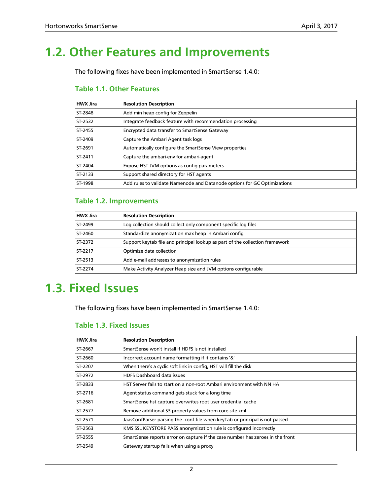## <span id="page-5-0"></span>**1.2. Other Features and Improvements**

<span id="page-5-2"></span>The following fixes have been implemented in SmartSense 1.4.0:

### **Table 1.1. Other Features**

| <b>HWX Jira</b> | <b>Resolution Description</b>                                            |  |
|-----------------|--------------------------------------------------------------------------|--|
| ST-2848         | Add min heap config for Zeppelin                                         |  |
| ST-2532         | Integrate feedback feature with recommendation processing                |  |
| ST-2455         | Encrypted data transfer to SmartSense Gateway                            |  |
| ST-2409         | Capture the Ambari Agent task logs                                       |  |
| ST-2691         | Automatically configure the SmartSense View properties                   |  |
| ST-2411         | Capture the ambari-env for ambari-agent                                  |  |
| ST-2404         | Expose HST JVM options as config parameters                              |  |
| ST-2133         | Support shared directory for HST agents                                  |  |
| ST-1998         | Add rules to validate Namenode and Datanode options for GC Optimizations |  |

#### <span id="page-5-3"></span>**Table 1.2. Improvements**

| <b>HWX Jira</b> | <b>Resolution Description</b>                                                |  |
|-----------------|------------------------------------------------------------------------------|--|
| ST-2499         | Log collection should collect only component specific log files              |  |
| ST-2460         | Standardize anonymization max heap in Ambari config                          |  |
| ST-2372         | Support keytab file and principal lookup as part of the collection framework |  |
| ST-2217         | Optimize data collection                                                     |  |
| ST-2513         | Add e-mail addresses to anonymization rules                                  |  |
| ST-2274         | Make Activity Analyzer Heap size and JVM options configurable                |  |

### <span id="page-5-1"></span>**1.3. Fixed Issues**

<span id="page-5-4"></span>The following fixes have been implemented in SmartSense 1.4.0:

### **Table 1.3. Fixed Issues**

| <b>Resolution Description</b>                                                  |
|--------------------------------------------------------------------------------|
| SmartSense won't install if HDFS is not installed                              |
| Incorrect account name formatting if it contains '&'                           |
| When there's a cyclic soft link in config. HST will fill the disk              |
| <b>HDFS Dashboard data issues</b>                                              |
| HST Server fails to start on a non-root Ambari environment with NN HA          |
| Agent status command gets stuck for a long time                                |
| SmartSense hst capture overwrites root user credential cache                   |
| Remove additional S3 property values from core-site.xml                        |
| JaasConfParser parsing the .conf file when keyTab or principal is not passed   |
| KMS SSL KEYSTORE PASS anonymization rule is configured incorrectly             |
| SmartSense reports error on capture if the case number has zeroes in the front |
| Gateway startup fails when using a proxy                                       |
|                                                                                |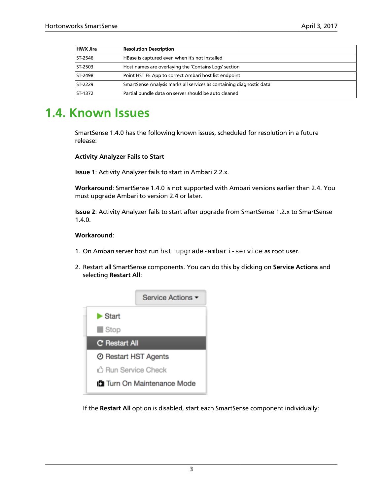| <b>HWX Jira</b> | <b>Resolution Description</b>                                        |
|-----------------|----------------------------------------------------------------------|
| ST-2546         | HBase is captured even when it's not installed                       |
| ST-2503         | Host names are overlaying the 'Contains Logs' section                |
| ST-2498         | Point HST FE App to correct Ambari host list endpoint                |
| ST-2229         | SmartSense Analysis marks all services as containing diagnostic data |
| ST-1372         | Partial bundle data on server should be auto cleaned                 |

### <span id="page-6-0"></span>**1.4. Known Issues**

SmartSense 1.4.0 has the following known issues, scheduled for resolution in a future release:

#### **Activity Analyzer Fails to Start**

**Issue 1**: Activity Analyzer fails to start in Ambari 2.2.x.

**Workaround**: SmartSense 1.4.0 is not supported with Ambari versions earlier than 2.4. You must upgrade Ambari to version 2.4 or later.

**Issue 2**: Activity Analyzer fails to start after upgrade from SmartSense 1.2.x to SmartSense 1.4.0.

#### **Workaround**:

- 1. On Ambari server host run hst upgrade-ambari-service as root user.
- 2. Restart all SmartSense components. You can do this by clicking on **Service Actions** and selecting **Restart All**:



If the **Restart All** option is disabled, start each SmartSense component individually: